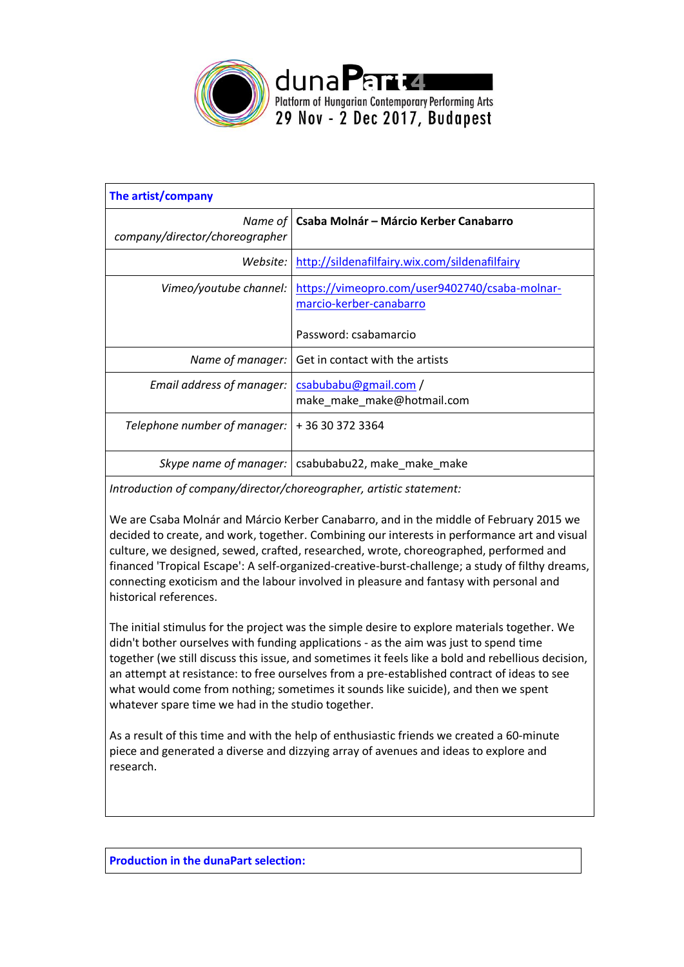

| The artist/company                        |                                                                           |  |
|-------------------------------------------|---------------------------------------------------------------------------|--|
| Name of<br>company/director/choreographer | Csaba Molnár - Márcio Kerber Canabarro                                    |  |
| Website:                                  | http://sildenafilfairy.wix.com/sildenafilfairy                            |  |
| Vimeo/youtube channel:                    | https://vimeopro.com/user9402740/csaba-molnar-<br>marcio-kerber-canabarro |  |
|                                           | Password: csabamarcio                                                     |  |
| Name of manager:                          | Get in contact with the artists                                           |  |
| Email address of manager:                 | csabubabu@gmail.com/<br>make make make@hotmail.com                        |  |
| Telephone number of manager:              | +36303723364                                                              |  |
| Skype name of manager:                    | csabubabu22, make_make_make                                               |  |

*Introduction of company/director/choreographer, artistic statement:*

We are Csaba Molnár and Márcio Kerber Canabarro, and in the middle of February 2015 we decided to create, and work, together. Combining our interests in performance art and visual culture, we designed, sewed, crafted, researched, wrote, choreographed, performed and financed 'Tropical Escape': A self-organized-creative-burst-challenge; a study of filthy dreams, connecting exoticism and the labour involved in pleasure and fantasy with personal and historical references.

The initial stimulus for the project was the simple desire to explore materials together. We didn't bother ourselves with funding applications - as the aim was just to spend time together (we still discuss this issue, and sometimes it feels like a bold and rebellious decision, an attempt at resistance: to free ourselves from a pre-established contract of ideas to see what would come from nothing; sometimes it sounds like suicide), and then we spent whatever spare time we had in the studio together.

As a result of this time and with the help of enthusiastic friends we created a 60-minute piece and generated a diverse and dizzying array of avenues and ideas to explore and research.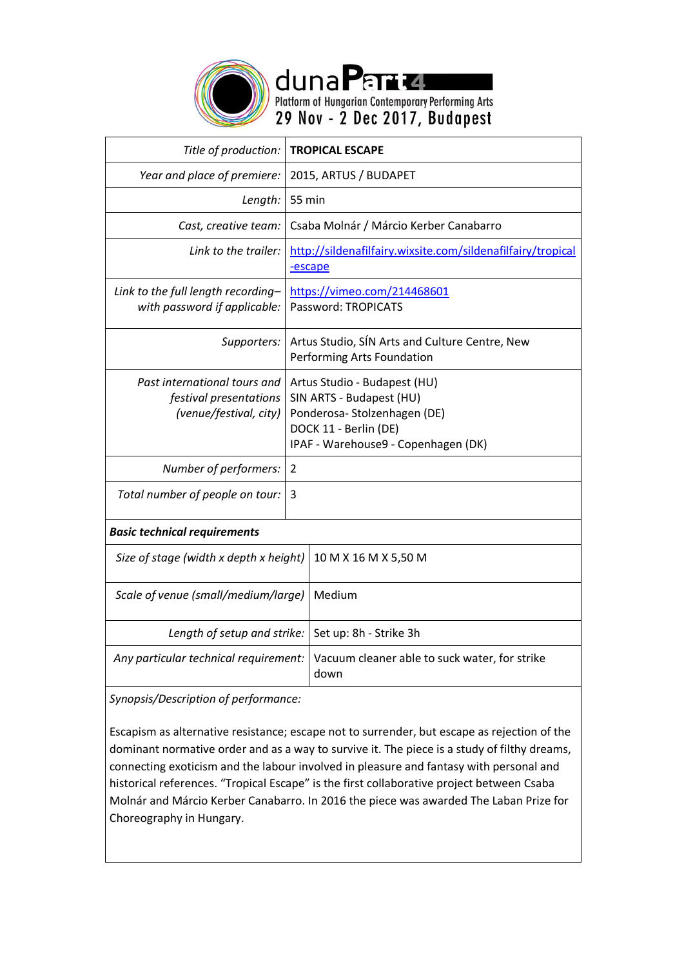

dunaPart4 Platform of Hungarian Contemporary Performing Arts<br>29 Nov - 2 Dec 2017, Budapest

| Title of production:                                                             | <b>TROPICAL ESCAPE</b>                                                                                                                                  |                                                             |  |  |
|----------------------------------------------------------------------------------|---------------------------------------------------------------------------------------------------------------------------------------------------------|-------------------------------------------------------------|--|--|
| Year and place of premiere:                                                      |                                                                                                                                                         | 2015, ARTUS / BUDAPET                                       |  |  |
| Length:                                                                          | 55 min                                                                                                                                                  |                                                             |  |  |
| Cast, creative team:                                                             |                                                                                                                                                         | Csaba Molnár / Márcio Kerber Canabarro                      |  |  |
| Link to the trailer:                                                             | -escape                                                                                                                                                 | http://sildenafilfairy.wixsite.com/sildenafilfairy/tropical |  |  |
| Link to the full length recording-<br>with password if applicable:               | https://vimeo.com/214468601<br>Password: TROPICATS                                                                                                      |                                                             |  |  |
| Supporters:                                                                      | Artus Studio, SÍN Arts and Culture Centre, New<br>Performing Arts Foundation                                                                            |                                                             |  |  |
| Past international tours and<br>festival presentations<br>(venue/festival, city) | Artus Studio - Budapest (HU)<br>SIN ARTS - Budapest (HU)<br>Ponderosa-Stolzenhagen (DE)<br>DOCK 11 - Berlin (DE)<br>IPAF - Warehouse9 - Copenhagen (DK) |                                                             |  |  |
| Number of performers:                                                            | $\mathcal{P}$                                                                                                                                           |                                                             |  |  |
| Total number of people on tour:                                                  | 3                                                                                                                                                       |                                                             |  |  |
| <b>Basic technical requirements</b>                                              |                                                                                                                                                         |                                                             |  |  |
| Size of stage (width x depth x height)                                           |                                                                                                                                                         | 10 M X 16 M X 5,50 M                                        |  |  |
| Scale of venue (small/medium/large)                                              |                                                                                                                                                         | Medium                                                      |  |  |
| Length of setup and strike:                                                      |                                                                                                                                                         | Set up: 8h - Strike 3h                                      |  |  |
| Any particular technical requirement:                                            |                                                                                                                                                         | Vacuum cleaner able to suck water, for strike<br>down       |  |  |

*Synopsis/Description of performance:*

Escapism as alternative resistance; escape not to surrender, but escape as rejection of the dominant normative order and as a way to survive it. The piece is a study of filthy dreams, connecting exoticism and the labour involved in pleasure and fantasy with personal and historical references. "Tropical Escape" is the first collaborative project between Csaba Molnár and Márcio Kerber Canabarro. In 2016 the piece was awarded The Laban Prize for Choreography in Hungary.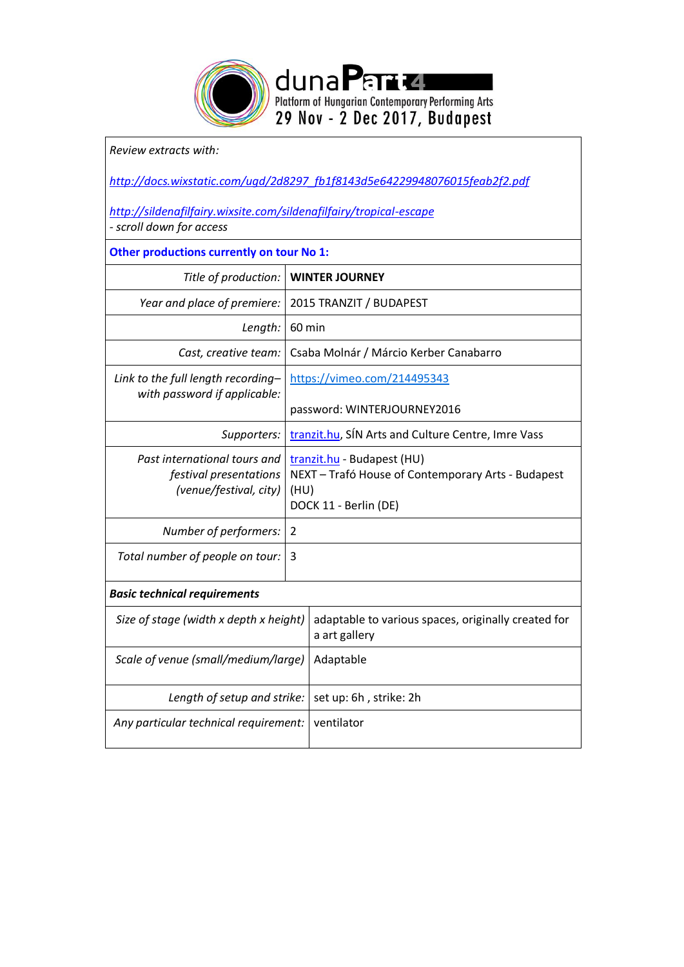

## *Review extracts with:*

*[http://docs.wixstatic.com/ugd/2d8297\\_fb1f8143d5e64229948076015feab2f2.pdf](http://docs.wixstatic.com/ugd/2d8297_fb1f8143d5e64229948076015feab2f2.pdf)*

*<http://sildenafilfairy.wixsite.com/sildenafilfairy/tropical-escape> - scroll down for access*

## **Other productions currently on tour No 1:**

| Title of production:                                                             |                                                                                                                   | <b>WINTER JOURNEY</b>                                                |  |  |
|----------------------------------------------------------------------------------|-------------------------------------------------------------------------------------------------------------------|----------------------------------------------------------------------|--|--|
| Year and place of premiere:                                                      | 2015 TRANZIT / BUDAPEST                                                                                           |                                                                      |  |  |
| Length:                                                                          | 60 min                                                                                                            |                                                                      |  |  |
| Cast, creative team:                                                             |                                                                                                                   | Csaba Molnár / Márcio Kerber Canabarro                               |  |  |
| Link to the full length recording-<br>with password if applicable:               |                                                                                                                   | https://vimeo.com/214495343                                          |  |  |
|                                                                                  |                                                                                                                   | password: WINTERJOURNEY2016                                          |  |  |
| Supporters:                                                                      |                                                                                                                   | tranzit.hu, SIN Arts and Culture Centre, Imre Vass                   |  |  |
| Past international tours and<br>festival presentations<br>(venue/festival, city) | tranzit.hu - Budapest (HU)<br>NEXT - Trafó House of Contemporary Arts - Budapest<br>(HU)<br>DOCK 11 - Berlin (DE) |                                                                      |  |  |
| Number of performers:                                                            | 2                                                                                                                 |                                                                      |  |  |
| Total number of people on tour:                                                  | 3                                                                                                                 |                                                                      |  |  |
| <b>Basic technical requirements</b>                                              |                                                                                                                   |                                                                      |  |  |
| Size of stage (width x depth x height)                                           |                                                                                                                   | adaptable to various spaces, originally created for<br>a art gallery |  |  |
| Scale of venue (small/medium/large)                                              |                                                                                                                   | Adaptable                                                            |  |  |
| Length of setup and strike:                                                      |                                                                                                                   | set up: 6h, strike: 2h                                               |  |  |
| Any particular technical requirement:                                            |                                                                                                                   | ventilator                                                           |  |  |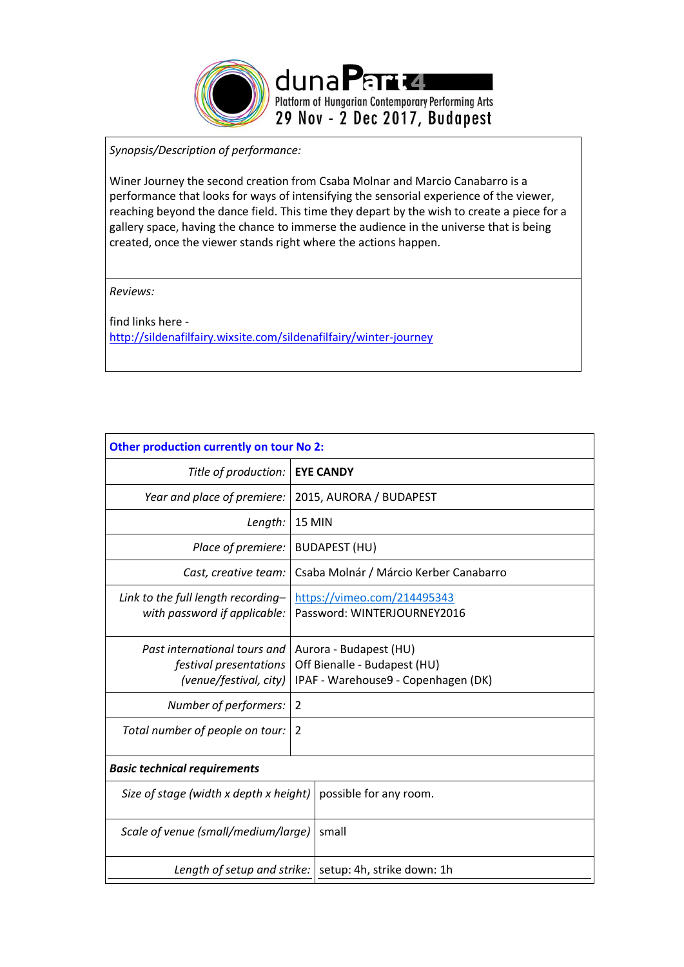

*Synopsis/Description of performance:*

Winer Journey the second creation from Csaba Molnar and Marcio Canabarro is a performance that looks for ways of intensifying the sensorial experience of the viewer, reaching beyond the dance field. This time they depart by the wish to create a piece for a gallery space, having the chance to immerse the audience in the universe that is being created, once the viewer stands right where the actions happen.

*Reviews:*

find links here <http://sildenafilfairy.wixsite.com/sildenafilfairy/winter-journey>

| Other production currently on tour No 2:                                         |                                                                                               |  |  |  |
|----------------------------------------------------------------------------------|-----------------------------------------------------------------------------------------------|--|--|--|
| Title of production:                                                             | <b>EYE CANDY</b>                                                                              |  |  |  |
| Year and place of premiere:                                                      | 2015, AURORA / BUDAPEST                                                                       |  |  |  |
| Length:                                                                          | <b>15 MIN</b>                                                                                 |  |  |  |
| Place of premiere:                                                               | <b>BUDAPEST (HU)</b>                                                                          |  |  |  |
| Cast, creative team:                                                             | Csaba Molnár / Márcio Kerber Canabarro                                                        |  |  |  |
| Link to the full length recording-<br>with password if applicable:               | https://vimeo.com/214495343<br>Password: WINTERJOURNEY2016                                    |  |  |  |
| Past international tours and<br>festival presentations<br>(venue/festival, city) | Aurora - Budapest (HU)<br>Off Bienalle - Budapest (HU)<br>IPAF - Warehouse9 - Copenhagen (DK) |  |  |  |
| Number of performers:                                                            | 2                                                                                             |  |  |  |
| Total number of people on tour:                                                  | $\overline{2}$                                                                                |  |  |  |
| <b>Basic technical requirements</b>                                              |                                                                                               |  |  |  |
| Size of stage (width x depth x height)                                           | possible for any room.                                                                        |  |  |  |
| Scale of venue (small/medium/large)                                              | small                                                                                         |  |  |  |
| Length of setup and strike:                                                      | setup: 4h, strike down: 1h                                                                    |  |  |  |